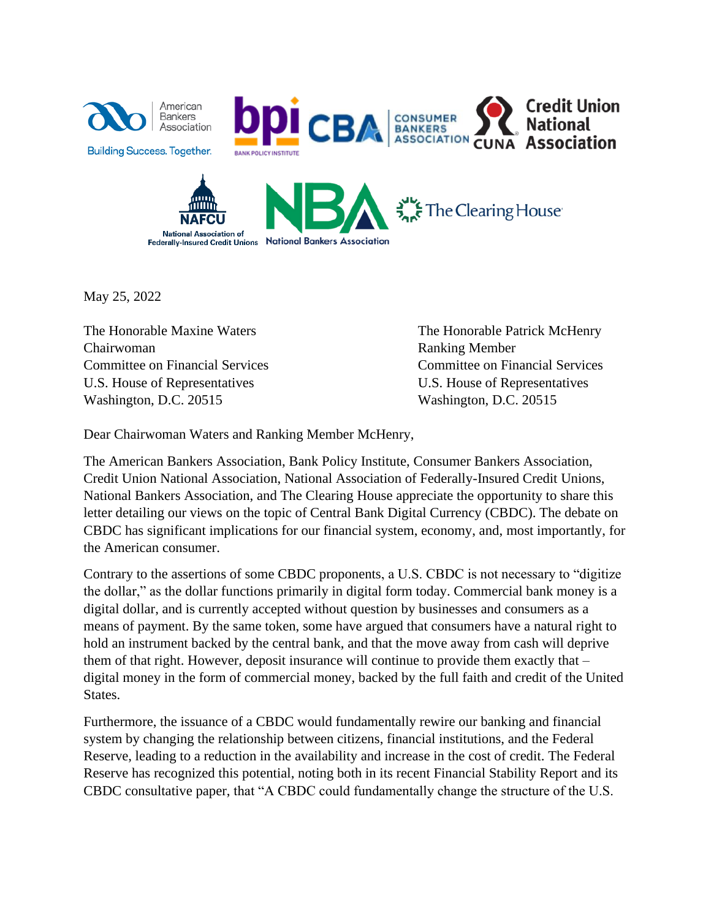

May 25, 2022

The Honorable Maxine Waters The Honorable Patrick McHenry Chairwoman Ranking Member Committee on Financial Services Committee on Financial Services U.S. House of Representatives U.S. House of Representatives Washington, D.C. 20515 Washington, D.C. 20515

Dear Chairwoman Waters and Ranking Member McHenry,

The American Bankers Association, Bank Policy Institute, Consumer Bankers Association, Credit Union National Association, National Association of Federally-Insured Credit Unions, National Bankers Association, and The Clearing House appreciate the opportunity to share this letter detailing our views on the topic of Central Bank Digital Currency (CBDC). The debate on CBDC has significant implications for our financial system, economy, and, most importantly, for the American consumer.

Contrary to the assertions of some CBDC proponents, a U.S. CBDC is not necessary to "digitize the dollar," as the dollar functions primarily in digital form today. Commercial bank money is a digital dollar, and is currently accepted without question by businesses and consumers as a means of payment. By the same token, some have argued that consumers have a natural right to hold an instrument backed by the central bank, and that the move away from cash will deprive them of that right. However, deposit insurance will continue to provide them exactly that – digital money in the form of commercial money, backed by the full faith and credit of the United States.

Furthermore, the issuance of a CBDC would fundamentally rewire our banking and financial system by changing the relationship between citizens, financial institutions, and the Federal Reserve, leading to a reduction in the availability and increase in the cost of credit. The Federal Reserve has recognized this potential, noting both in its recent Financial Stability Report and its CBDC consultative paper, that "A CBDC could fundamentally change the structure of the U.S.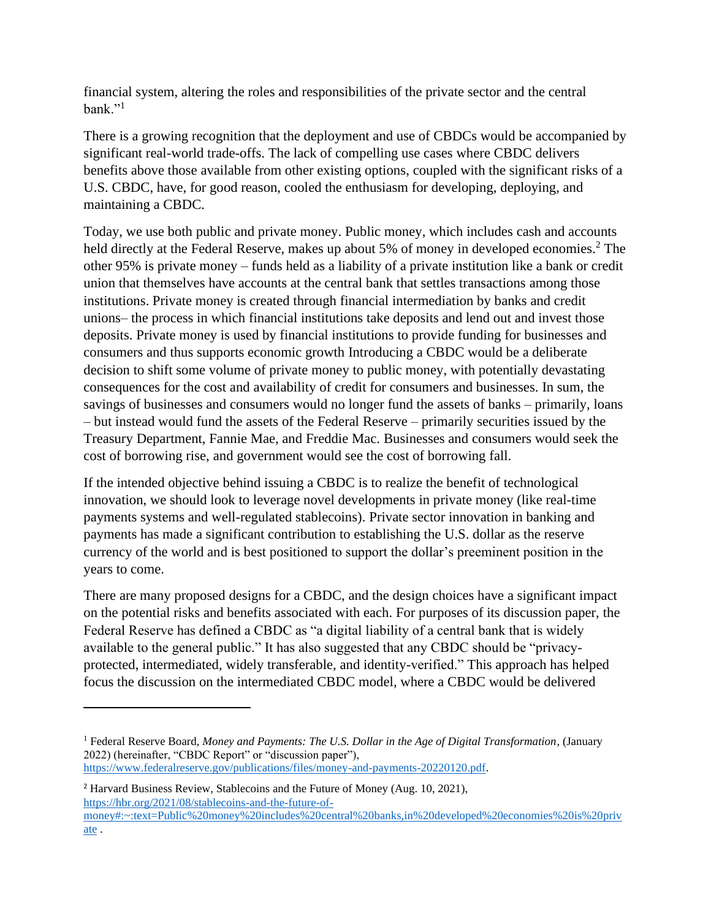financial system, altering the roles and responsibilities of the private sector and the central bank." $^{\prime\prime}$ 

There is a growing recognition that the deployment and use of CBDCs would be accompanied by significant real-world trade-offs. The lack of compelling use cases where CBDC delivers benefits above those available from other existing options, coupled with the significant risks of a U.S. CBDC, have, for good reason, cooled the enthusiasm for developing, deploying, and maintaining a CBDC.

Today, we use both public and private money. Public money, which includes cash and accounts held directly at the Federal Reserve, makes up about 5% of money in developed economies.<sup>2</sup> The other 95% is private money – funds held as a liability of a private institution like a bank or credit union that themselves have accounts at the central bank that settles transactions among those institutions. Private money is created through financial intermediation by banks and credit unions– the process in which financial institutions take deposits and lend out and invest those deposits. Private money is used by financial institutions to provide funding for businesses and consumers and thus supports economic growth Introducing a CBDC would be a deliberate decision to shift some volume of private money to public money, with potentially devastating consequences for the cost and availability of credit for consumers and businesses. In sum, the savings of businesses and consumers would no longer fund the assets of banks – primarily, loans – but instead would fund the assets of the Federal Reserve – primarily securities issued by the Treasury Department, Fannie Mae, and Freddie Mac. Businesses and consumers would seek the cost of borrowing rise, and government would see the cost of borrowing fall.

If the intended objective behind issuing a CBDC is to realize the benefit of technological innovation, we should look to leverage novel developments in private money (like real-time payments systems and well-regulated stablecoins). Private sector innovation in banking and payments has made a significant contribution to establishing the U.S. dollar as the reserve currency of the world and is best positioned to support the dollar's preeminent position in the years to come.

There are many proposed designs for a CBDC, and the design choices have a significant impact on the potential risks and benefits associated with each. For purposes of its discussion paper, the Federal Reserve has defined a CBDC as "a digital liability of a central bank that is widely available to the general public." It has also suggested that any CBDC should be "privacyprotected, intermediated, widely transferable, and identity-verified." This approach has helped focus the discussion on the intermediated CBDC model, where a CBDC would be delivered

<sup>1</sup> Federal Reserve Board, *Money and Payments: The U.S. Dollar in the Age of Digital Transformation*, (January 2022) (hereinafter, "CBDC Report" or "discussion paper"), [https://www.federalreserve.gov/publications/files/money-and-payments-20220120.pdf.](https://www.federalreserve.gov/publications/files/money-and-payments-20220120.pdf)

<sup>&</sup>lt;sup>2</sup> Harvard Business Review, Stablecoins and the Future of Money (Aug. 10, 2021), [https://hbr.org/2021/08/stablecoins-and-the-future-of](https://hbr.org/2021/08/stablecoins-and-the-future-of-money#:~:text=Public%20money%20includes%20central%20banks,in%20developed%20economies%20is%20private)[money#:~:text=Public%20money%20includes%20central%20banks,in%20developed%20economies%20is%20priv](https://hbr.org/2021/08/stablecoins-and-the-future-of-money#:~:text=Public%20money%20includes%20central%20banks,in%20developed%20economies%20is%20private) [ate](https://hbr.org/2021/08/stablecoins-and-the-future-of-money#:~:text=Public%20money%20includes%20central%20banks,in%20developed%20economies%20is%20private) .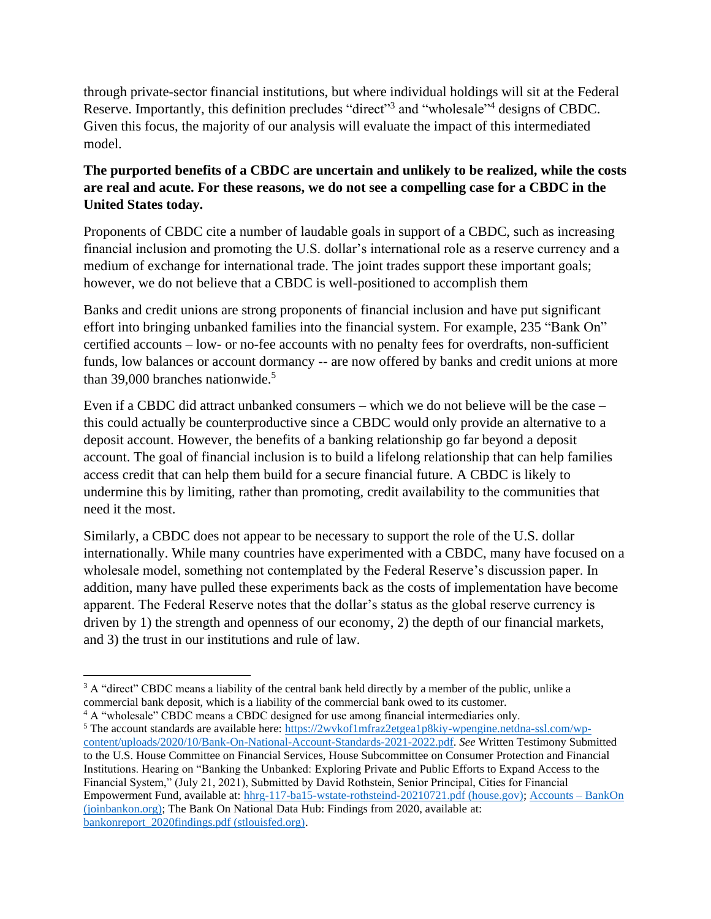through private-sector financial institutions, but where individual holdings will sit at the Federal Reserve. Importantly, this definition precludes "direct"<sup>3</sup> and "wholesale"<sup>4</sup> designs of CBDC. Given this focus, the majority of our analysis will evaluate the impact of this intermediated model.

## **The purported benefits of a CBDC are uncertain and unlikely to be realized, while the costs are real and acute. For these reasons, we do not see a compelling case for a CBDC in the United States today.**

Proponents of CBDC cite a number of laudable goals in support of a CBDC, such as increasing financial inclusion and promoting the U.S. dollar's international role as a reserve currency and a medium of exchange for international trade. The joint trades support these important goals; however, we do not believe that a CBDC is well-positioned to accomplish them

Banks and credit unions are strong proponents of financial inclusion and have put significant effort into bringing unbanked families into the financial system. For example, 235 "Bank On" certified accounts – low- or no-fee accounts with no penalty fees for overdrafts, non-sufficient funds, low balances or account dormancy -- are now offered by banks and credit unions at more than 39,000 branches nationwide.<sup>5</sup>

Even if a CBDC did attract unbanked consumers – which we do not believe will be the case – this could actually be counterproductive since a CBDC would only provide an alternative to a deposit account. However, the benefits of a banking relationship go far beyond a deposit account. The goal of financial inclusion is to build a lifelong relationship that can help families access credit that can help them build for a secure financial future. A CBDC is likely to undermine this by limiting, rather than promoting, credit availability to the communities that need it the most.

Similarly, a CBDC does not appear to be necessary to support the role of the U.S. dollar internationally. While many countries have experimented with a CBDC, many have focused on a wholesale model, something not contemplated by the Federal Reserve's discussion paper. In addition, many have pulled these experiments back as the costs of implementation have become apparent. The Federal Reserve notes that the dollar's status as the global reserve currency is driven by 1) the strength and openness of our economy, 2) the depth of our financial markets, and 3) the trust in our institutions and rule of law.

<sup>&</sup>lt;sup>3</sup> A "direct" CBDC means a liability of the central bank held directly by a member of the public, unlike a commercial bank deposit, which is a liability of the commercial bank owed to its customer.

<sup>&</sup>lt;sup>4</sup> A "wholesale" CBDC means a CBDC designed for use among financial intermediaries only.

<sup>&</sup>lt;sup>5</sup> The account standards are available here: [https://2wvkof1mfraz2etgea1p8kiy-wpengine.netdna-ssl.com/wp](https://2wvkof1mfraz2etgea1p8kiy-wpengine.netdna-ssl.com/wp-content/uploads/2020/10/Bank-On-National-Account-Standards-2021-2022.pdf)[content/uploads/2020/10/Bank-On-National-Account-Standards-2021-2022.pdf.](https://2wvkof1mfraz2etgea1p8kiy-wpengine.netdna-ssl.com/wp-content/uploads/2020/10/Bank-On-National-Account-Standards-2021-2022.pdf) *See* Written Testimony Submitted to the U.S. House Committee on Financial Services, House Subcommittee on Consumer Protection and Financial Institutions. Hearing on "Banking the Unbanked: Exploring Private and Public Efforts to Expand Access to the Financial System," (July 21, 2021), Submitted by David Rothstein, Senior Principal, Cities for Financial Empowerment Fund, available at: [hhrg-117-ba15-wstate-rothsteind-20210721.pdf \(house.gov\);](https://financialservices.house.gov/uploadedfiles/hhrg-117-ba15-wstate-rothsteind-20210721.pdf) [Accounts –](https://joinbankon.org/accounts/) BankOn [\(joinbankon.org\);](https://joinbankon.org/accounts/) The Bank On National Data Hub: Findings from 2020, available at: [bankonreport\\_2020findings.pdf \(stlouisfed.org\).](https://www.stlouisfed.org/-/media/project/frbstl/stlouisfed/files/pdfs/community-development/bank-on/bankonreport_2020findings.pdf)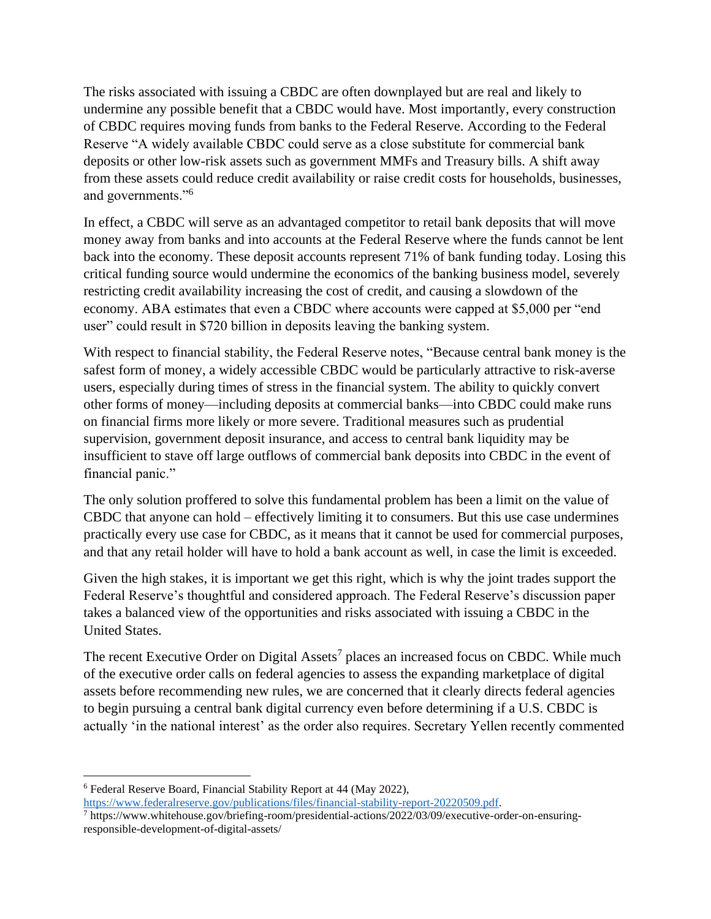The risks associated with issuing a CBDC are often downplayed but are real and likely to undermine any possible benefit that a CBDC would have. Most importantly, every construction of CBDC requires moving funds from banks to the Federal Reserve. According to the Federal Reserve "A widely available CBDC could serve as a close substitute for commercial bank deposits or other low-risk assets such as government MMFs and Treasury bills. A shift away from these assets could reduce credit availability or raise credit costs for households, businesses, and governments."<sup>6</sup>

In effect, a CBDC will serve as an advantaged competitor to retail bank deposits that will move money away from banks and into accounts at the Federal Reserve where the funds cannot be lent back into the economy. These deposit accounts represent 71% of bank funding today. Losing this critical funding source would undermine the economics of the banking business model, severely restricting credit availability increasing the cost of credit, and causing a slowdown of the economy. ABA estimates that even a CBDC where accounts were capped at \$5,000 per "end user" could result in \$720 billion in deposits leaving the banking system.

With respect to financial stability, the Federal Reserve notes, "Because central bank money is the safest form of money, a widely accessible CBDC would be particularly attractive to risk-averse users, especially during times of stress in the financial system. The ability to quickly convert other forms of money—including deposits at commercial banks—into CBDC could make runs on financial firms more likely or more severe. Traditional measures such as prudential supervision, government deposit insurance, and access to central bank liquidity may be insufficient to stave off large outflows of commercial bank deposits into CBDC in the event of financial panic."

The only solution proffered to solve this fundamental problem has been a limit on the value of CBDC that anyone can hold – effectively limiting it to consumers. But this use case undermines practically every use case for CBDC, as it means that it cannot be used for commercial purposes, and that any retail holder will have to hold a bank account as well, in case the limit is exceeded.

Given the high stakes, it is important we get this right, which is why the joint trades support the Federal Reserve's thoughtful and considered approach. The Federal Reserve's discussion paper takes a balanced view of the opportunities and risks associated with issuing a CBDC in the United States.

The recent Executive Order on Digital Assets<sup>7</sup> places an increased focus on CBDC. While much of the executive order calls on federal agencies to assess the expanding marketplace of digital assets before recommending new rules, we are concerned that it clearly directs federal agencies to begin pursuing a central bank digital currency even before determining if a U.S. CBDC is actually 'in the national interest' as the order also requires. Secretary Yellen recently commented

<sup>6</sup> Federal Reserve Board, Financial Stability Report at 44 (May 2022),

[https://www.federalreserve.gov/publications/files/financial-stability-report-20220509.pdf.](https://www.federalreserve.gov/publications/files/financial-stability-report-20220509.pdf)

 $^7$  https://www.whitehouse.gov/briefing-room/presidential-actions/2022/03/09/executive-order-on-ensuringresponsible-development-of-digital-assets/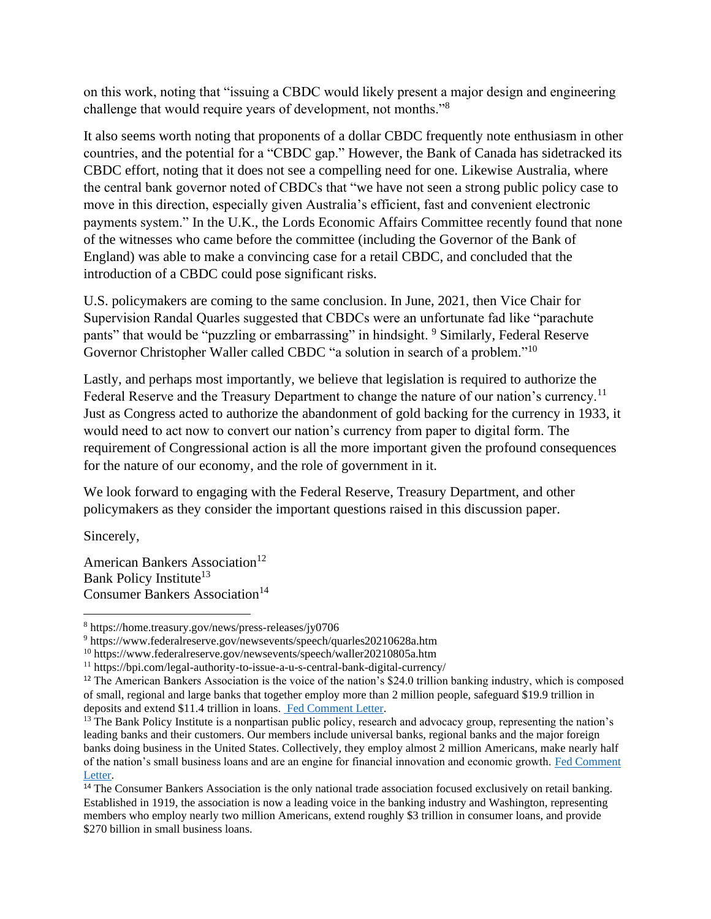on this work, noting that "issuing a CBDC would likely present a major design and engineering challenge that would require years of development, not months."<sup>8</sup>

It also seems worth noting that proponents of a dollar CBDC frequently note enthusiasm in other countries, and the potential for a "CBDC gap." However, the Bank of Canada has sidetracked its CBDC effort, noting that it does not see a compelling need for one. Likewise Australia, where the central bank governor noted of CBDCs that "we have not seen a strong public policy case to move in this direction, especially given Australia's efficient, fast and convenient electronic payments system." In the U.K., the Lords Economic Affairs Committee recently found that none of the witnesses who came before the committee (including the Governor of the Bank of England) was able to make a convincing case for a retail CBDC, and concluded that the introduction of a CBDC could pose significant risks.

U.S. policymakers are coming to the same conclusion. In June, 2021, then Vice Chair for Supervision Randal Quarles suggested that CBDCs were an unfortunate fad like "parachute pants" that would be "puzzling or embarrassing" in hindsight. <sup>9</sup> Similarly, Federal Reserve Governor Christopher Waller called CBDC "a solution in search of a problem."<sup>10</sup>

Lastly, and perhaps most importantly, we believe that legislation is required to authorize the Federal Reserve and the Treasury Department to change the nature of our nation's currency.<sup>11</sup> Just as Congress acted to authorize the abandonment of gold backing for the currency in 1933, it would need to act now to convert our nation's currency from paper to digital form. The requirement of Congressional action is all the more important given the profound consequences for the nature of our economy, and the role of government in it.

We look forward to engaging with the Federal Reserve, Treasury Department, and other policymakers as they consider the important questions raised in this discussion paper.

Sincerely,

American Bankers Association<sup>12</sup> Bank Policy Institute<sup>13</sup> Consumer Bankers Association<sup>14</sup>

<sup>8</sup> https://home.treasury.gov/news/press-releases/jy0706

<sup>9</sup> https://www.federalreserve.gov/newsevents/speech/quarles20210628a.htm

<sup>10</sup> https://www.federalreserve.gov/newsevents/speech/waller20210805a.htm

<sup>11</sup> https://bpi.com/legal-authority-to-issue-a-u-s-central-bank-digital-currency/

<sup>&</sup>lt;sup>12</sup> The American Bankers Association is the voice of the nation's \$24.0 trillion banking industry, which is composed of small, regional and large banks that together employ more than 2 million people, safeguard \$19.9 trillion in deposits and extend \$11.4 trillion in loans. [Fed Comment Letter.](https://www.aba.com/-/media/documents/comment-letter/aba-comments-on-fed-discussion-paper-money-and-payments-05202022.pdf?rev=f951926825b14ad9b6c901e68b36f22d)

<sup>&</sup>lt;sup>13</sup> The Bank Policy Institute is a nonpartisan public policy, research and advocacy group, representing the nation's leading banks and their customers. Our members include universal banks, regional banks and the major foreign banks doing business in the United States. Collectively, they employ almost 2 million Americans, make nearly half of the nation's small business loans and are an engine for financial innovation and economic growth. [Fed Comment](https://nam12.safelinks.protection.outlook.com/?url=https%3A%2F%2Fbpi.com%2Fwp-content%2Fuploads%2F2022%2F05%2FBPI-Files-Comments-in-Response-to-Federal-Reserve-CBDC-Discussion-Paper.pdf&data=05%7C01%7Cskenneal%40aba.com%7Cb1ab6e92a6214ec99b5d08da3e750563%7Cfe17a64031f14411aa9053b5cce85e14%7C0%7C1%7C637890969577336069%7CUnknown%7CTWFpbGZsb3d8eyJWIjoiMC4wLjAwMDAiLCJQIjoiV2luMzIiLCJBTiI6Ik1haWwiLCJXVCI6Mn0%3D%7C3000%7C%7C%7C&sdata=amx%2Ff%2BUswCaKkdqcSy%2FQSm9iZ0cP1bNSutOvi59WlJ4%3D&reserved=0)  [Letter.](https://nam12.safelinks.protection.outlook.com/?url=https%3A%2F%2Fbpi.com%2Fwp-content%2Fuploads%2F2022%2F05%2FBPI-Files-Comments-in-Response-to-Federal-Reserve-CBDC-Discussion-Paper.pdf&data=05%7C01%7Cskenneal%40aba.com%7Cb1ab6e92a6214ec99b5d08da3e750563%7Cfe17a64031f14411aa9053b5cce85e14%7C0%7C1%7C637890969577336069%7CUnknown%7CTWFpbGZsb3d8eyJWIjoiMC4wLjAwMDAiLCJQIjoiV2luMzIiLCJBTiI6Ik1haWwiLCJXVCI6Mn0%3D%7C3000%7C%7C%7C&sdata=amx%2Ff%2BUswCaKkdqcSy%2FQSm9iZ0cP1bNSutOvi59WlJ4%3D&reserved=0)

<sup>&</sup>lt;sup>14</sup> The Consumer Bankers Association is the only national trade association focused exclusively on retail banking. Established in 1919, the association is now a leading voice in the banking industry and Washington, representing members who employ nearly two million Americans, extend roughly \$3 trillion in consumer loans, and provide \$270 billion in small business loans.